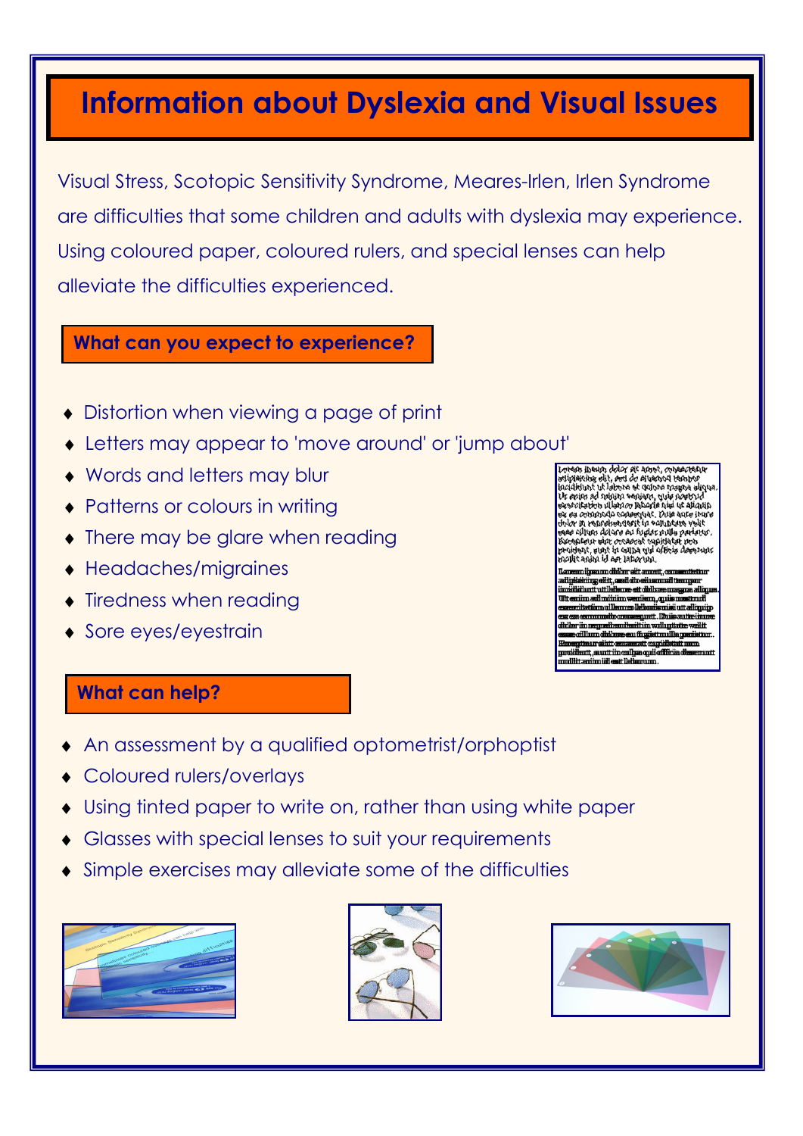# Information about Dyslexia and Visual Issues

Visual Stress, Scotopic Sensitivity Syndrome, Meares-Irlen, Irlen Syndrome are difficulties that some children and adults with dyslexia may experience. Using coloured paper, coloured rulers, and special lenses can help alleviate the difficulties experienced.

#### What can you expect to experience?

- ♦ Distortion when viewing a page of print
- Letters may appear to 'move around' or 'jump about'
- ♦ Words and letters may blur
- Patterns or colours in writing
- There may be glare when reading
- ♦ Headaches/migraines
- Tiredness when reading
- ♦ Sore eyes/eyestrain

icididint ut labore et dolore inaliga eliqu<br>idipleking elit, ped do eluennol tennor<br>icididint ut labore et dolore inaliga eliqu ngun ay mga salam na<br>Min ad minin banian, guis<br>Mision ulamo labaris niai i nt aliann ાવાર વાર મુખ્ય પદ સારત<br>વ્યુપનેદ, Duin નવદન દર **MONDO NAMA** હ્રિમેલયવર્ગા માં આગે જિલ્લા તે.<br>હાલન લ્યાનની તેમ કરીના માંગલ 14M illyn dolgre au fugiar nulla pariary<br>Law sinr a-paassi pugiar nulla pariary ાર થયા છે.<br>આ પણ વ્યવસાર આવેલું<br>પણ પણ આવેલું આવેલું છે. aging id ago lationing.

sett läika maatt dielise il miiniima iam,qui tiimullemmolkin isi uttalimnin nuit Mileautein dhandlaithin wdlugtate v dhihmee een ffi wiist mullie meristh a pidlett sinit a tt.sunttin cultra quicoffi litanim iilest lkü m

#### What can help?

ī

- An assessment by a qualified optometrist/orphoptist
- Coloured rulers/overlays
- Using tinted paper to write on, rather than using white paper
- **Glasses with special lenses to suit your requirements**
- Simple exercises may alleviate some of the difficulties